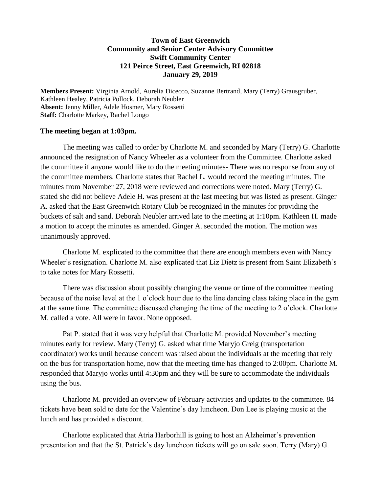## **Town of East Greenwich Community and Senior Center Advisory Committee Swift Community Center 121 Peirce Street, East Greenwich, RI 02818 January 29, 2019**

**Members Present:** Virginia Arnold, Aurelia Dicecco, Suzanne Bertrand, Mary (Terry) Grausgruber, Kathleen Healey, Patricia Pollock, Deborah Neubler **Absent:** Jenny Miller, Adele Hosmer, Mary Rossetti **Staff:** Charlotte Markey, Rachel Longo

## **The meeting began at 1:03pm.**

The meeting was called to order by Charlotte M. and seconded by Mary (Terry) G. Charlotte announced the resignation of Nancy Wheeler as a volunteer from the Committee. Charlotte asked the committee if anyone would like to do the meeting minutes- There was no response from any of the committee members. Charlotte states that Rachel L. would record the meeting minutes. The minutes from November 27, 2018 were reviewed and corrections were noted. Mary (Terry) G. stated she did not believe Adele H. was present at the last meeting but was listed as present. Ginger A. asked that the East Greenwich Rotary Club be recognized in the minutes for providing the buckets of salt and sand. Deborah Neubler arrived late to the meeting at 1:10pm. Kathleen H. made a motion to accept the minutes as amended. Ginger A. seconded the motion. The motion was unanimously approved.

Charlotte M. explicated to the committee that there are enough members even with Nancy Wheeler's resignation. Charlotte M. also explicated that Liz Dietz is present from Saint Elizabeth's to take notes for Mary Rossetti.

There was discussion about possibly changing the venue or time of the committee meeting because of the noise level at the 1 o'clock hour due to the line dancing class taking place in the gym at the same time. The committee discussed changing the time of the meeting to 2 o'clock. Charlotte M. called a vote. All were in favor. None opposed.

Pat P. stated that it was very helpful that Charlotte M. provided November's meeting minutes early for review. Mary (Terry) G. asked what time Maryjo Greig (transportation coordinator) works until because concern was raised about the individuals at the meeting that rely on the bus for transportation home, now that the meeting time has changed to 2:00pm. Charlotte M. responded that Maryjo works until 4:30pm and they will be sure to accommodate the individuals using the bus.

Charlotte M. provided an overview of February activities and updates to the committee. 84 tickets have been sold to date for the Valentine's day luncheon. Don Lee is playing music at the lunch and has provided a discount.

Charlotte explicated that Atria Harborhill is going to host an Alzheimer's prevention presentation and that the St. Patrick's day luncheon tickets will go on sale soon. Terry (Mary) G.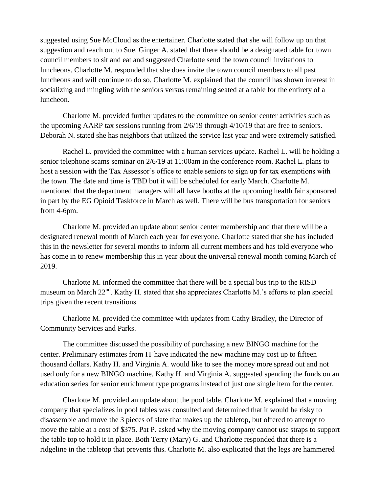suggested using Sue McCloud as the entertainer. Charlotte stated that she will follow up on that suggestion and reach out to Sue. Ginger A. stated that there should be a designated table for town council members to sit and eat and suggested Charlotte send the town council invitations to luncheons. Charlotte M. responded that she does invite the town council members to all past luncheons and will continue to do so. Charlotte M. explained that the council has shown interest in socializing and mingling with the seniors versus remaining seated at a table for the entirety of a luncheon.

Charlotte M. provided further updates to the committee on senior center activities such as the upcoming AARP tax sessions running from 2/6/19 through 4/10/19 that are free to seniors. Deborah N. stated she has neighbors that utilized the service last year and were extremely satisfied.

Rachel L. provided the committee with a human services update. Rachel L. will be holding a senior telephone scams seminar on 2/6/19 at 11:00am in the conference room. Rachel L. plans to host a session with the Tax Assessor's office to enable seniors to sign up for tax exemptions with the town. The date and time is TBD but it will be scheduled for early March. Charlotte M. mentioned that the department managers will all have booths at the upcoming health fair sponsored in part by the EG Opioid Taskforce in March as well. There will be bus transportation for seniors from 4-6pm.

Charlotte M. provided an update about senior center membership and that there will be a designated renewal month of March each year for everyone. Charlotte stated that she has included this in the newsletter for several months to inform all current members and has told everyone who has come in to renew membership this in year about the universal renewal month coming March of 2019.

Charlotte M. informed the committee that there will be a special bus trip to the RISD museum on March  $22<sup>nd</sup>$ . Kathy H. stated that she appreciates Charlotte M.'s efforts to plan special trips given the recent transitions.

Charlotte M. provided the committee with updates from Cathy Bradley, the Director of Community Services and Parks.

The committee discussed the possibility of purchasing a new BINGO machine for the center. Preliminary estimates from IT have indicated the new machine may cost up to fifteen thousand dollars. Kathy H. and Virginia A. would like to see the money more spread out and not used only for a new BINGO machine. Kathy H. and Virginia A. suggested spending the funds on an education series for senior enrichment type programs instead of just one single item for the center.

Charlotte M. provided an update about the pool table. Charlotte M. explained that a moving company that specializes in pool tables was consulted and determined that it would be risky to disassemble and move the 3 pieces of slate that makes up the tabletop, but offered to attempt to move the table at a cost of \$375. Pat P. asked why the moving company cannot use straps to support the table top to hold it in place. Both Terry (Mary) G. and Charlotte responded that there is a ridgeline in the tabletop that prevents this. Charlotte M. also explicated that the legs are hammered